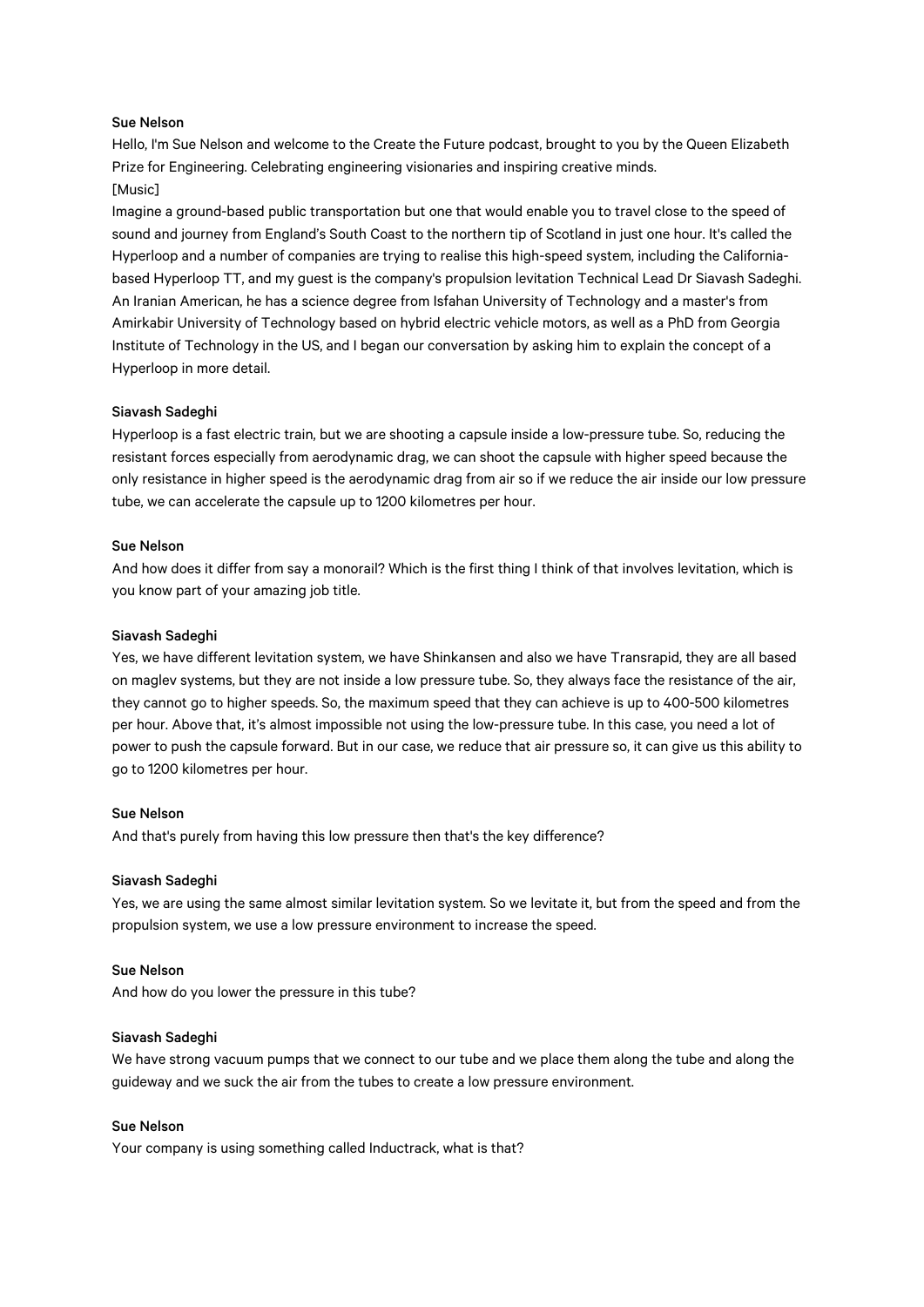## Sue Nelson

Hello, I'm Sue Nelson and welcome to the Create the Future podcast, brought to you by the Queen Elizabeth Prize for Engineering. Celebrating engineering visionaries and inspiring creative minds. [Music]

Imagine a ground-based public transportation but one that would enable you to travel close to the speed of sound and journey from England's South Coast to the northern tip of Scotland in just one hour. It's called the Hyperloop and a number of companies are trying to realise this high-speed system, including the Californiabased Hyperloop TT, and my guest is the company's propulsion levitation Technical Lead Dr Siavash Sadeghi. An Iranian American, he has a science degree from Isfahan University of Technology and a master's from Amirkabir University of Technology based on hybrid electric vehicle motors, as well as a PhD from Georgia Institute of Technology in the US, and I began our conversation by asking him to explain the concept of a Hyperloop in more detail.

# Siavash Sadeghi

Hyperloop is a fast electric train, but we are shooting a capsule inside a low-pressure tube. So, reducing the resistant forces especially from aerodynamic drag, we can shoot the capsule with higher speed because the only resistance in higher speed is the aerodynamic drag from air so if we reduce the air inside our low pressure tube, we can accelerate the capsule up to 1200 kilometres per hour.

### Sue Nelson

And how does it differ from say a monorail? Which is the first thing I think of that involves levitation, which is you know part of your amazing job title.

#### Siavash Sadeghi

Yes, we have different levitation system, we have Shinkansen and also we have Transrapid, they are all based on maglev systems, but they are not inside a low pressure tube. So, they always face the resistance of the air, they cannot go to higher speeds. So, the maximum speed that they can achieve is up to 400-500 kilometres per hour. Above that, it's almost impossible not using the low-pressure tube. In this case, you need a lot of power to push the capsule forward. But in our case, we reduce that air pressure so, it can give us this ability to go to 1200 kilometres per hour.

## Sue Nelson

And that's purely from having this low pressure then that's the key difference?

### Siavash Sadeghi

Yes, we are using the same almost similar levitation system. So we levitate it, but from the speed and from the propulsion system, we use a low pressure environment to increase the speed.

#### Sue Nelson

And how do you lower the pressure in this tube?

### Siavash Sadeghi

We have strong vacuum pumps that we connect to our tube and we place them along the tube and along the guideway and we suck the air from the tubes to create a low pressure environment.

## Sue Nelson

Your company is using something called Inductrack, what is that?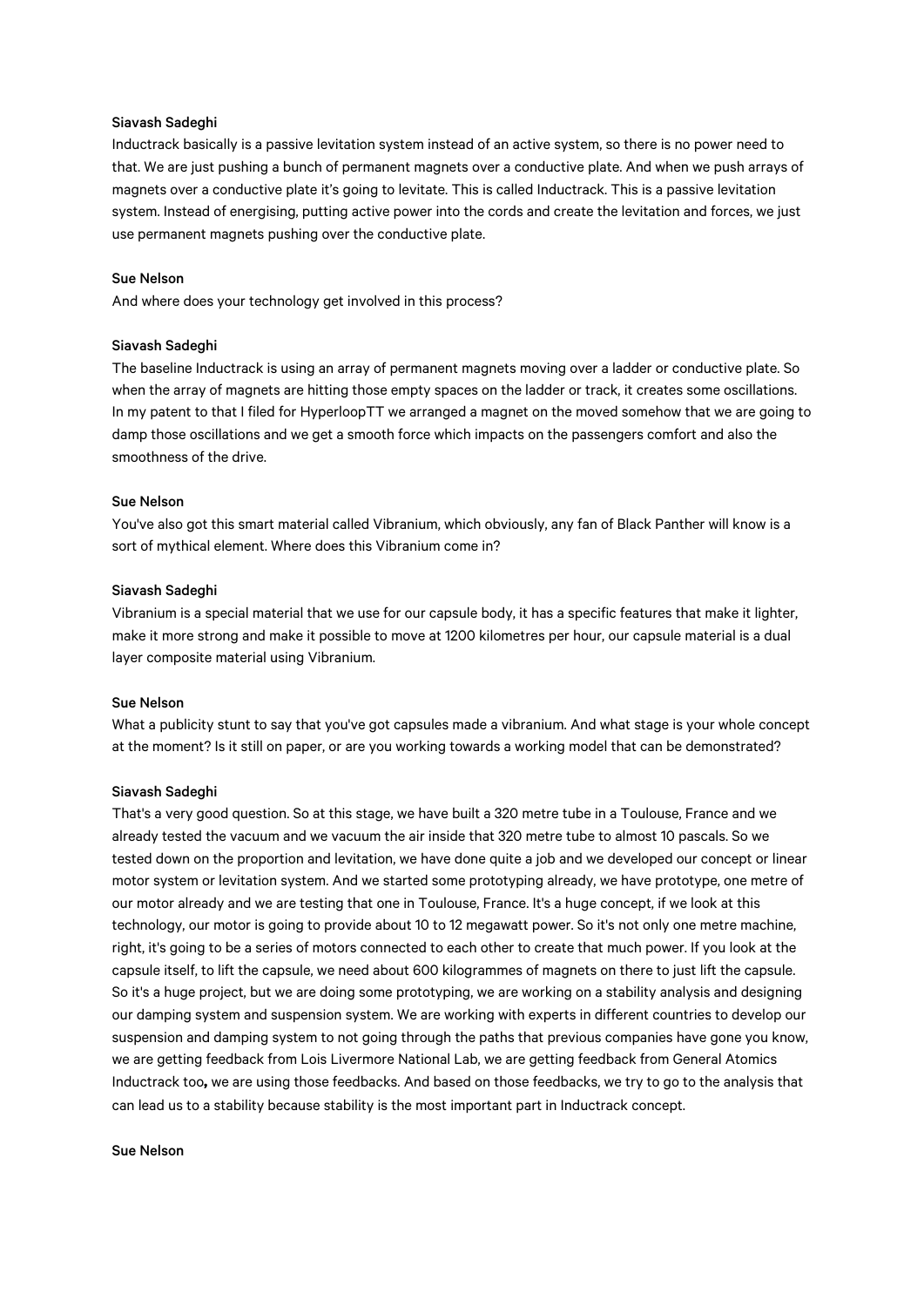## Siavash Sadeghi

Inductrack basically is a passive levitation system instead of an active system, so there is no power need to that. We are just pushing a bunch of permanent magnets over a conductive plate. And when we push arrays of magnets over a conductive plate it's going to levitate. This is called Inductrack. This is a passive levitation system. Instead of energising, putting active power into the cords and create the levitation and forces, we just use permanent magnets pushing over the conductive plate.

## Sue Nelson

And where does your technology get involved in this process?

# Siavash Sadeghi

The baseline Inductrack is using an array of permanent magnets moving over a ladder or conductive plate. So when the array of magnets are hitting those empty spaces on the ladder or track, it creates some oscillations. In my patent to that I filed for HyperloopTT we arranged a magnet on the moved somehow that we are going to damp those oscillations and we get a smooth force which impacts on the passengers comfort and also the smoothness of the drive.

# Sue Nelson

You've also got this smart material called Vibranium, which obviously, any fan of Black Panther will know is a sort of mythical element. Where does this Vibranium come in?

### Siavash Sadeghi

Vibranium is a special material that we use for our capsule body, it has a specific features that make it lighter, make it more strong and make it possible to move at 1200 kilometres per hour, our capsule material is a dual layer composite material using Vibranium.

### Sue Nelson

What a publicity stunt to say that you've got capsules made a vibranium. And what stage is your whole concept at the moment? Is it still on paper, or are you working towards a working model that can be demonstrated?

# Siavash Sadeghi

That's a very good question. So at this stage, we have built a 320 metre tube in a Toulouse, France and we already tested the vacuum and we vacuum the air inside that 320 metre tube to almost 10 pascals. So we tested down on the proportion and levitation, we have done quite a job and we developed our concept or linear motor system or levitation system. And we started some prototyping already, we have prototype, one metre of our motor already and we are testing that one in Toulouse, France. It's a huge concept, if we look at this technology, our motor is going to provide about 10 to 12 megawatt power. So it's not only one metre machine, right, it's going to be a series of motors connected to each other to create that much power. If you look at the capsule itself, to lift the capsule, we need about 600 kilogrammes of magnets on there to just lift the capsule. So it's a huge project, but we are doing some prototyping, we are working on a stability analysis and designing our damping system and suspension system. We are working with experts in different countries to develop our suspension and damping system to not going through the paths that previous companies have gone you know, we are getting feedback from Lois Livermore National Lab, we are getting feedback from General Atomics Inductrack too**,** we are using those feedbacks. And based on those feedbacks, we try to go to the analysis that can lead us to a stability because stability is the most important part in Inductrack concept.

#### Sue Nelson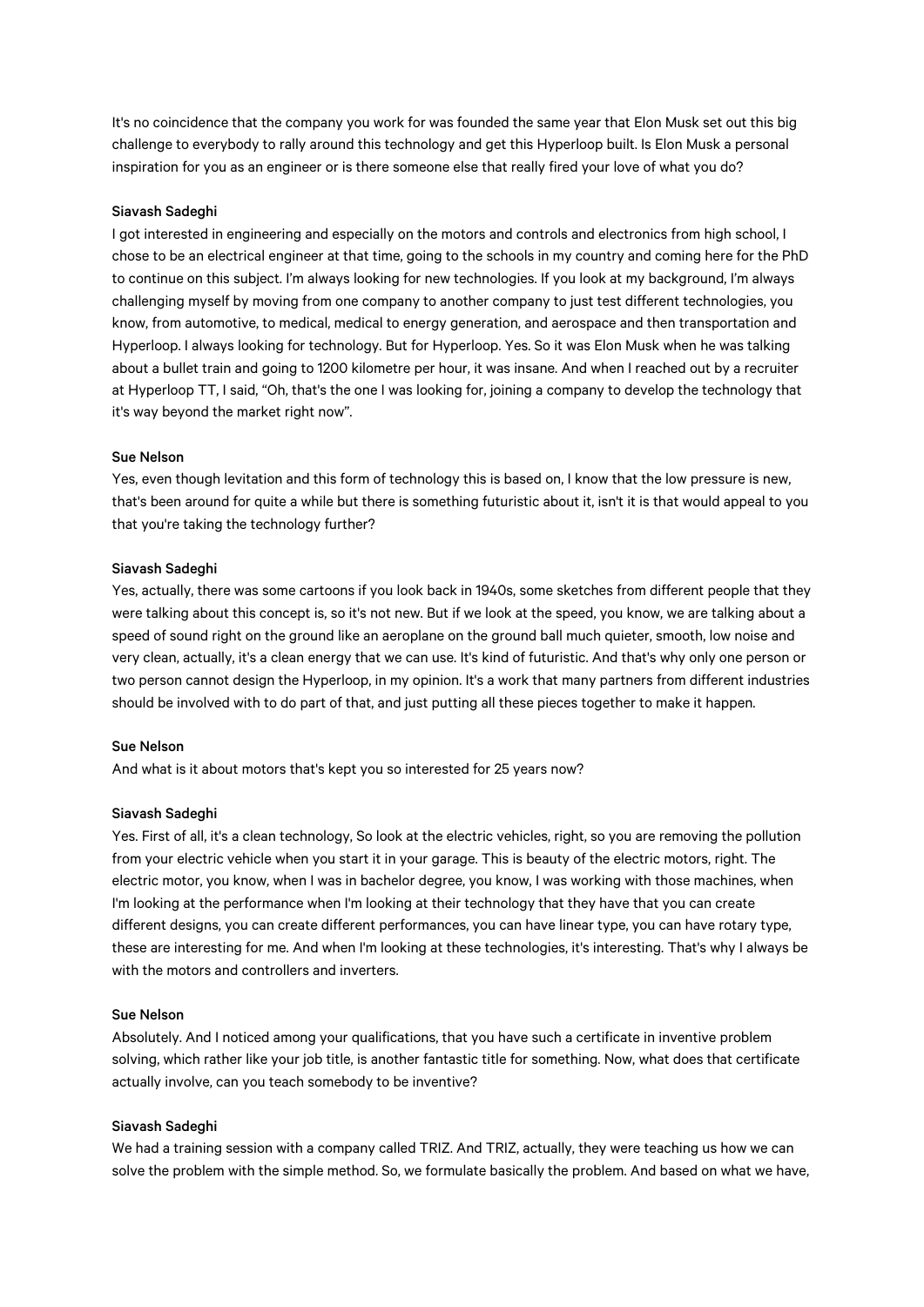It's no coincidence that the company you work for was founded the same year that Elon Musk set out this big challenge to everybody to rally around this technology and get this Hyperloop built. Is Elon Musk a personal inspiration for you as an engineer or is there someone else that really fired your love of what you do?

### Siavash Sadeghi

I got interested in engineering and especially on the motors and controls and electronics from high school, I chose to be an electrical engineer at that time, going to the schools in my country and coming here for the PhD to continue on this subject. I'm always looking for new technologies. If you look at my background, I'm always challenging myself by moving from one company to another company to just test different technologies, you know, from automotive, to medical, medical to energy generation, and aerospace and then transportation and Hyperloop. I always looking for technology. But for Hyperloop. Yes. So it was Elon Musk when he was talking about a bullet train and going to 1200 kilometre per hour, it was insane. And when I reached out by a recruiter at Hyperloop TT, I said, "Oh, that's the one I was looking for, joining a company to develop the technology that it's way beyond the market right now".

#### Sue Nelson

Yes, even though levitation and this form of technology this is based on, I know that the low pressure is new, that's been around for quite a while but there is something futuristic about it, isn't it is that would appeal to you that you're taking the technology further?

#### Siavash Sadeghi

Yes, actually, there was some cartoons if you look back in 1940s, some sketches from different people that they were talking about this concept is, so it's not new. But if we look at the speed, you know, we are talking about a speed of sound right on the ground like an aeroplane on the ground ball much quieter, smooth, low noise and very clean, actually, it's a clean energy that we can use. It's kind of futuristic. And that's why only one person or two person cannot design the Hyperloop, in my opinion. It's a work that many partners from different industries should be involved with to do part of that, and just putting all these pieces together to make it happen.

# Sue Nelson

And what is it about motors that's kept you so interested for 25 years now?

## Siavash Sadeghi

Yes. First of all, it's a clean technology, So look at the electric vehicles, right, so you are removing the pollution from your electric vehicle when you start it in your garage. This is beauty of the electric motors, right. The electric motor, you know, when I was in bachelor degree, you know, I was working with those machines, when I'm looking at the performance when I'm looking at their technology that they have that you can create different designs, you can create different performances, you can have linear type, you can have rotary type, these are interesting for me. And when I'm looking at these technologies, it's interesting. That's why I always be with the motors and controllers and inverters.

#### Sue Nelson

Absolutely. And I noticed among your qualifications, that you have such a certificate in inventive problem solving, which rather like your job title, is another fantastic title for something. Now, what does that certificate actually involve, can you teach somebody to be inventive?

## Siavash Sadeghi

We had a training session with a company called TRIZ. And TRIZ, actually, they were teaching us how we can solve the problem with the simple method. So, we formulate basically the problem. And based on what we have,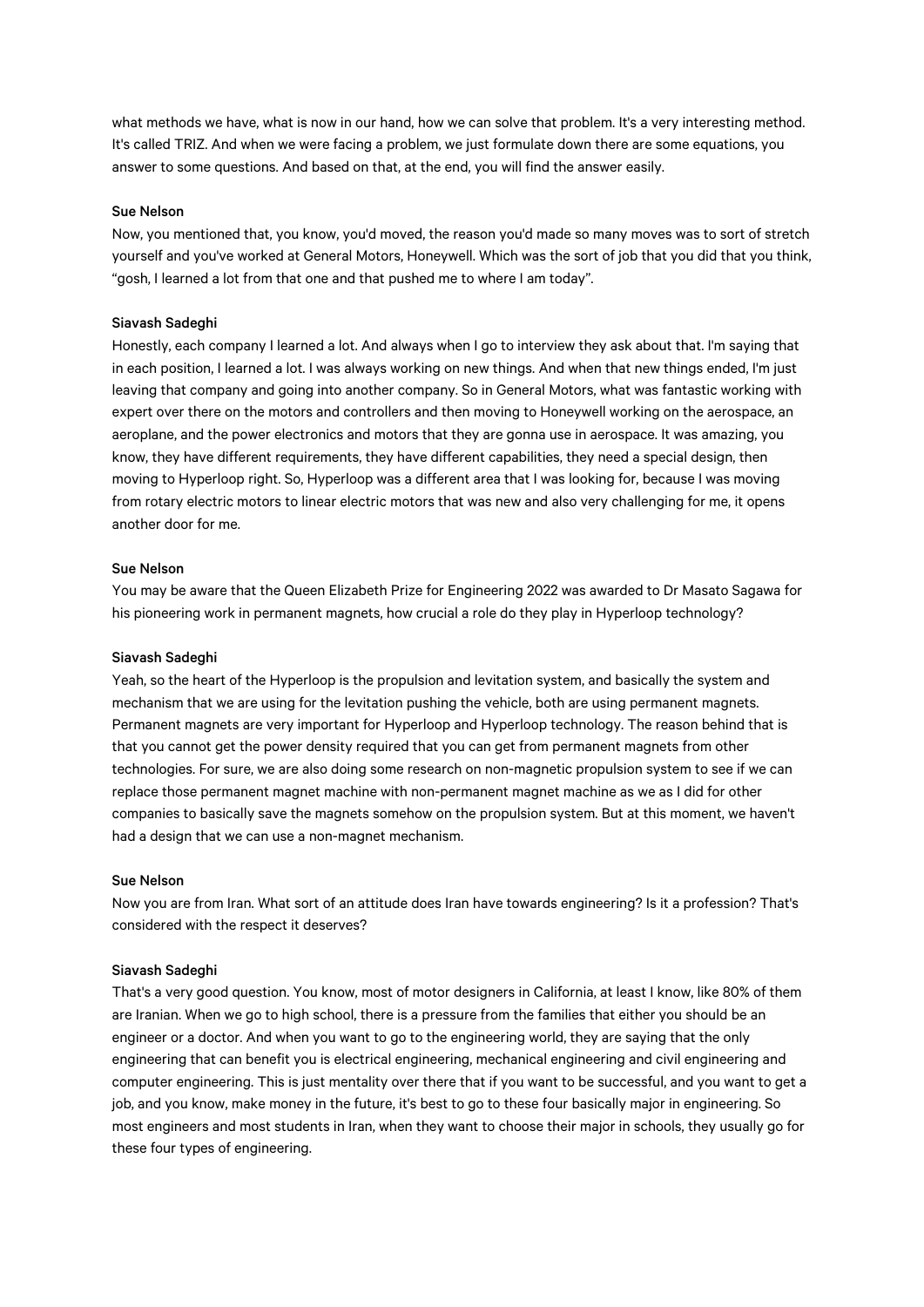what methods we have, what is now in our hand, how we can solve that problem. It's a very interesting method. It's called TRIZ. And when we were facing a problem, we just formulate down there are some equations, you answer to some questions. And based on that, at the end, you will find the answer easily.

#### Sue Nelson

Now, you mentioned that, you know, you'd moved, the reason you'd made so many moves was to sort of stretch yourself and you've worked at General Motors, Honeywell. Which was the sort of job that you did that you think, "gosh, I learned a lot from that one and that pushed me to where I am today".

### Siavash Sadeghi

Honestly, each company I learned a lot. And always when I go to interview they ask about that. I'm saying that in each position, I learned a lot. I was always working on new things. And when that new things ended, I'm just leaving that company and going into another company. So in General Motors, what was fantastic working with expert over there on the motors and controllers and then moving to Honeywell working on the aerospace, an aeroplane, and the power electronics and motors that they are gonna use in aerospace. It was amazing, you know, they have different requirements, they have different capabilities, they need a special design, then moving to Hyperloop right. So, Hyperloop was a different area that I was looking for, because I was moving from rotary electric motors to linear electric motors that was new and also very challenging for me, it opens another door for me.

## Sue Nelson

You may be aware that the Queen Elizabeth Prize for Engineering 2022 was awarded to Dr Masato Sagawa for his pioneering work in permanent magnets, how crucial a role do they play in Hyperloop technology?

### Siavash Sadeghi

Yeah, so the heart of the Hyperloop is the propulsion and levitation system, and basically the system and mechanism that we are using for the levitation pushing the vehicle, both are using permanent magnets. Permanent magnets are very important for Hyperloop and Hyperloop technology. The reason behind that is that you cannot get the power density required that you can get from permanent magnets from other technologies. For sure, we are also doing some research on non-magnetic propulsion system to see if we can replace those permanent magnet machine with non-permanent magnet machine as we as I did for other companies to basically save the magnets somehow on the propulsion system. But at this moment, we haven't had a design that we can use a non-magnet mechanism.

# Sue Nelson

Now you are from Iran. What sort of an attitude does Iran have towards engineering? Is it a profession? That's considered with the respect it deserves?

#### Siavash Sadeghi

That's a very good question. You know, most of motor designers in California, at least I know, like 80% of them are Iranian. When we go to high school, there is a pressure from the families that either you should be an engineer or a doctor. And when you want to go to the engineering world, they are saying that the only engineering that can benefit you is electrical engineering, mechanical engineering and civil engineering and computer engineering. This is just mentality over there that if you want to be successful, and you want to get a job, and you know, make money in the future, it's best to go to these four basically major in engineering. So most engineers and most students in Iran, when they want to choose their major in schools, they usually go for these four types of engineering.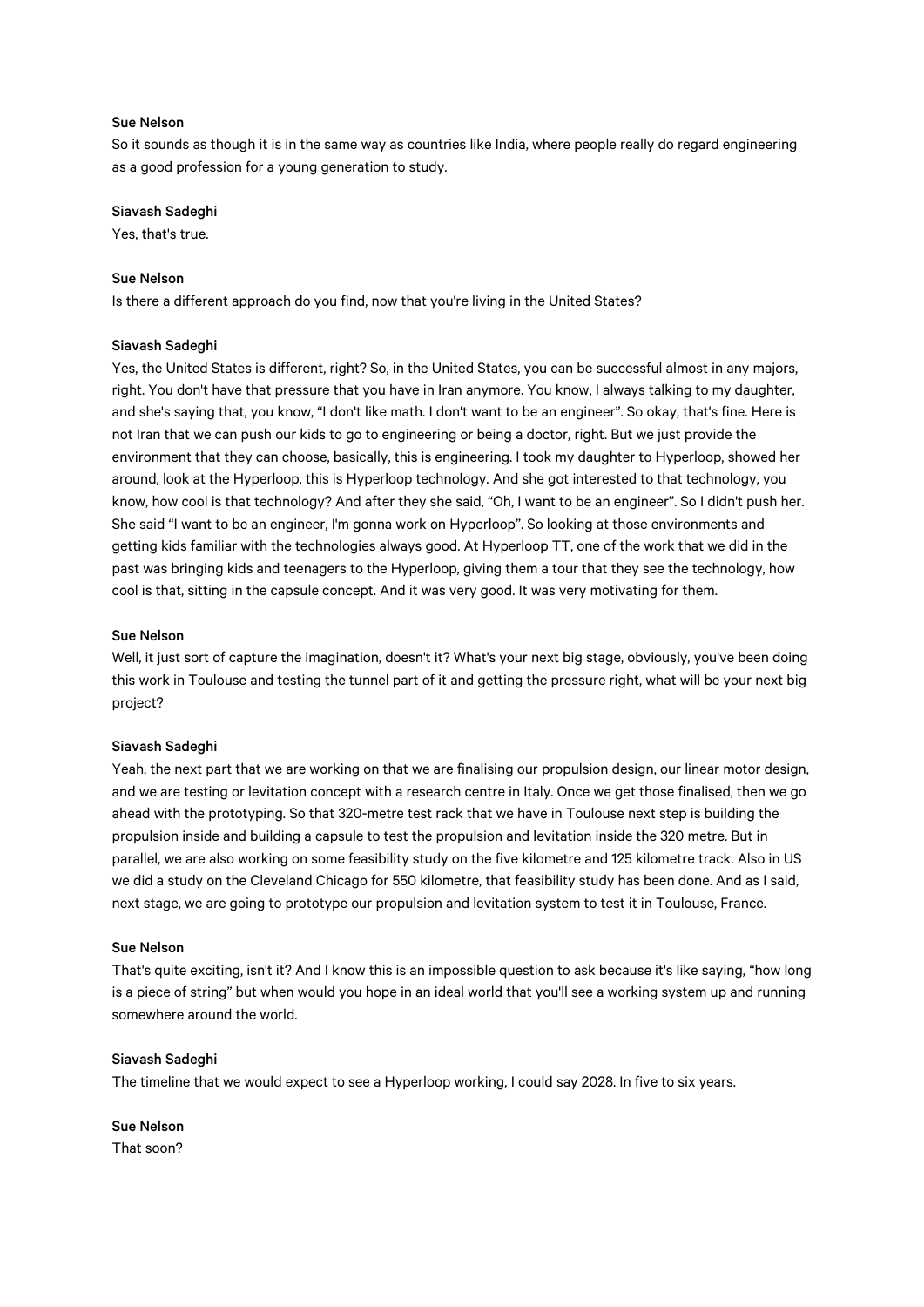## Sue Nelson

So it sounds as though it is in the same way as countries like India, where people really do regard engineering as a good profession for a young generation to study.

#### Siavash Sadeghi

Yes, that's true.

# Sue Nelson

Is there a different approach do you find, now that you're living in the United States?

### Siavash Sadeghi

Yes, the United States is different, right? So, in the United States, you can be successful almost in any majors, right. You don't have that pressure that you have in Iran anymore. You know, I always talking to my daughter, and she's saying that, you know, "I don't like math. I don't want to be an engineer". So okay, that's fine. Here is not Iran that we can push our kids to go to engineering or being a doctor, right. But we just provide the environment that they can choose, basically, this is engineering. I took my daughter to Hyperloop, showed her around, look at the Hyperloop, this is Hyperloop technology. And she got interested to that technology, you know, how cool is that technology? And after they she said, "Oh, I want to be an engineer". So I didn't push her. She said "I want to be an engineer, I'm gonna work on Hyperloop". So looking at those environments and getting kids familiar with the technologies always good. At Hyperloop TT, one of the work that we did in the past was bringing kids and teenagers to the Hyperloop, giving them a tour that they see the technology, how cool is that, sitting in the capsule concept. And it was very good. It was very motivating for them.

#### Sue Nelson

Well, it just sort of capture the imagination, doesn't it? What's your next big stage, obviously, you've been doing this work in Toulouse and testing the tunnel part of it and getting the pressure right, what will be your next big project?

#### Siavash Sadeghi

Yeah, the next part that we are working on that we are finalising our propulsion design, our linear motor design, and we are testing or levitation concept with a research centre in Italy. Once we get those finalised, then we go ahead with the prototyping. So that 320-metre test rack that we have in Toulouse next step is building the propulsion inside and building a capsule to test the propulsion and levitation inside the 320 metre. But in parallel, we are also working on some feasibility study on the five kilometre and 125 kilometre track. Also in US we did a study on the Cleveland Chicago for 550 kilometre, that feasibility study has been done. And as I said, next stage, we are going to prototype our propulsion and levitation system to test it in Toulouse, France.

# Sue Nelson

That's quite exciting, isn't it? And I know this is an impossible question to ask because it's like saying, "how long is a piece of string" but when would you hope in an ideal world that you'll see a working system up and running somewhere around the world.

## Siavash Sadeghi

The timeline that we would expect to see a Hyperloop working, I could say 2028. In five to six years.

Sue Nelson That soon?